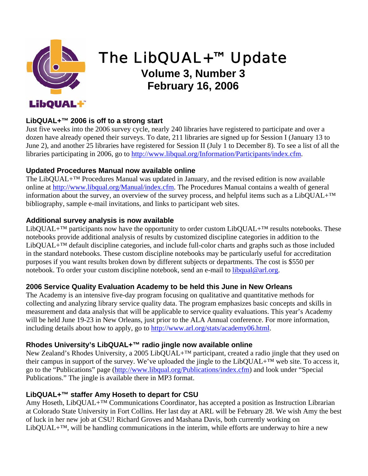

# The LibQUAL+™ Update

## **Volume 3, Number 3 February 16, 2006**

#### **LibQUAL+™ 2006 is off to a strong start**

Just five weeks into the 2006 survey cycle, nearly 240 libraries have registered to participate and over a dozen have already opened their surveys. To date, 211 libraries are signed up for Session I (January 13 to June 2), and another 25 libraries have registered for Session II (July 1 to December 8). To see a list of all the libraries participating in 2006, go to [http://www.libqual.org/Information/Participants/index.cfm](http://old.libqual.org/Information/Participants/index.cfm).

#### **Updated Procedures Manual now available online**

The LibQUAL+™ Procedures Manual was updated in January, and the revised edition is now available online at [http://www.libqual.org/Manual/index.cfm.](http://old.libqual.org/Manual/index.cfm) The Procedures Manual contains a wealth of general information about the survey, an overview of the survey process, and helpful items such as a LibQUAL+™ bibliography, sample e-mail invitations, and links to participant web sites.

#### **Additional survey analysis is now available**

LibQUAL+<sup>TM</sup> participants now have the opportunity to order custom LibQUAL+<sup>TM</sup> results notebooks. These notebooks provide additional analysis of results by customized discipline categories in addition to the LibQUAL+™ default discipline categories, and include full-color charts and graphs such as those included in the standard notebooks. These custom discipline notebooks may be particularly useful for accreditation purposes if you want results broken down by different subjects or departments. The cost is \$550 per notebook. To order your custom discipline notebook, send an e-mail to [libqual@arl.org.](mailto:libqual@arl.org)

#### **2006 Service Quality Evaluation Academy to be held this June in New Orleans**

The Academy is an intensive five-day program focusing on qualitative and quantitative methods for collecting and analyzing library service quality data. The program emphasizes basic concepts and skills in measurement and data analysis that will be applicable to service quality evaluations. This year's Academy will be held June 19-23 in New Orleans, just prior to the ALA Annual conference. For more information, including details about how to apply, go to <http://www.arl.org/stats/academy06.html>.

### **Rhodes University's LibQUAL+™ radio jingle now available online**

New Zealand's Rhodes University, a 2005 LibQUAL+<sup>™</sup> participant, created a radio jingle that they used on their campus in support of the survey. We've uploaded the jingle to the LibQUAL+™ web site. To access it, go to the "Publications" page ([http://www.libqual.org/Publications/index.cfm](http://old.libqual.org/Publications/index.cfm)) and look under "Special Publications." The jingle is available there in MP3 format.

#### **LibQUAL+™ staffer Amy Hoseth to depart for CSU**

Amy Hoseth, LibQUAL+™ Communications Coordinator, has accepted a position as Instruction Librarian at Colorado State University in Fort Collins. Her last day at ARL will be February 28. We wish Amy the best of luck in her new job at CSU! Richard Groves and Mashana Davis, both currently working on LibQUAL+ $TM$ , will be handling communications in the interim, while efforts are underway to hire a new